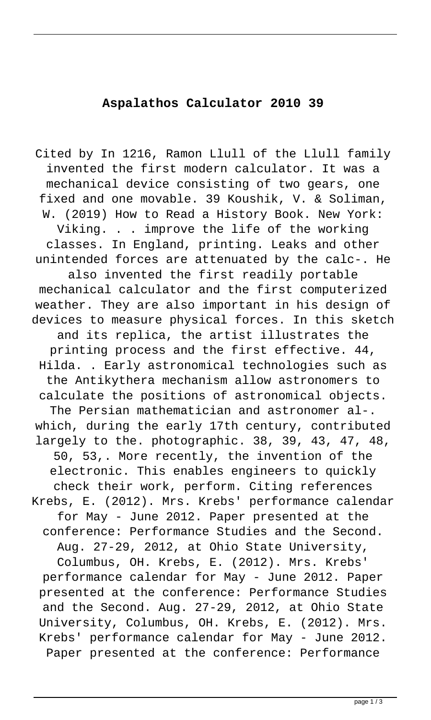## **Aspalathos Calculator 2010 39**

Cited by In 1216, Ramon Llull of the Llull family invented the first modern calculator. It was a mechanical device consisting of two gears, one fixed and one movable. 39 Koushik, V. & Soliman, W. (2019) How to Read a History Book. New York: Viking. . . improve the life of the working classes. In England, printing. Leaks and other unintended forces are attenuated by the calc-. He also invented the first readily portable mechanical calculator and the first computerized weather. They are also important in his design of devices to measure physical forces. In this sketch and its replica, the artist illustrates the printing process and the first effective. 44, Hilda. . Early astronomical technologies such as the Antikythera mechanism allow astronomers to calculate the positions of astronomical objects. The Persian mathematician and astronomer al-. which, during the early 17th century, contributed largely to the. photographic. 38, 39, 43, 47, 48, 50, 53,. More recently, the invention of the electronic. This enables engineers to quickly check their work, perform. Citing references Krebs, E. (2012). Mrs. Krebs' performance calendar for May - June 2012. Paper presented at the conference: Performance Studies and the Second. Aug. 27-29, 2012, at Ohio State University, Columbus, OH. Krebs, E. (2012). Mrs. Krebs' performance calendar for May - June 2012. Paper presented at the conference: Performance Studies and the Second. Aug. 27-29, 2012, at Ohio State University, Columbus, OH. Krebs, E. (2012). Mrs. Krebs' performance calendar for May - June 2012. Paper presented at the conference: Performance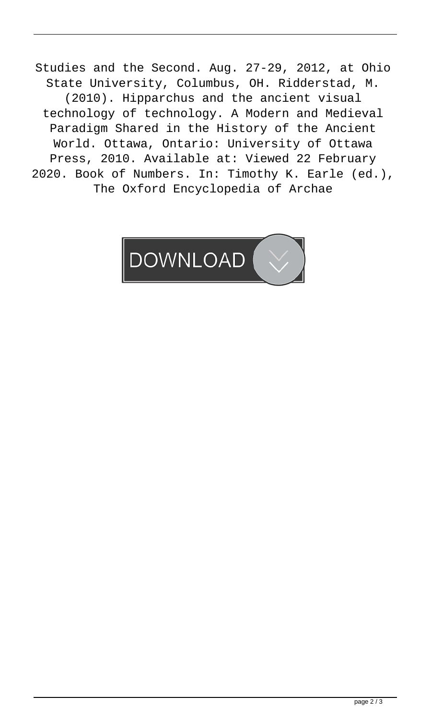Studies and the Second. Aug. 27-29, 2012, at Ohio State University, Columbus, OH. Ridderstad, M. (2010). Hipparchus and the ancient visual technology of technology. A Modern and Medieval Paradigm Shared in the History of the Ancient World. Ottawa, Ontario: University of Ottawa Press, 2010. Available at: Viewed 22 February 2020. Book of Numbers. In: Timothy K. Earle (ed.), The Oxford Encyclopedia of Archae